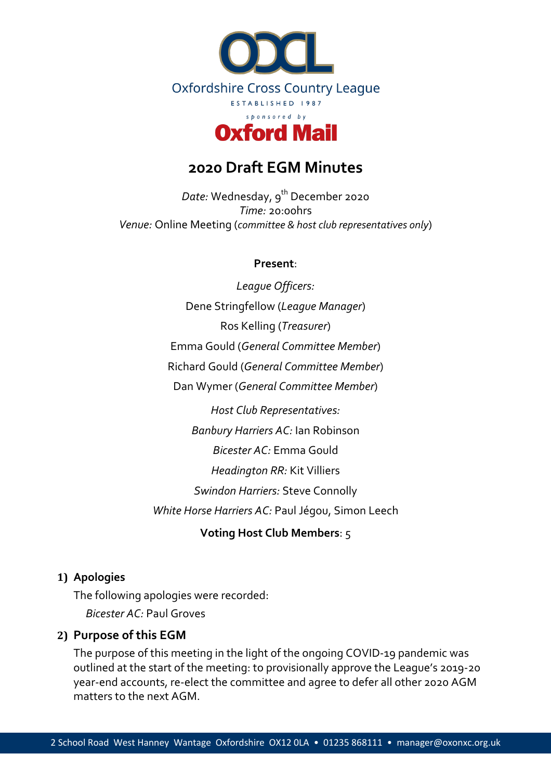

# **2020 Draft EGM Minutes**

*Date:* Wednesday, 9<sup>th</sup> December 2020 *Time:* 20:00hrs *Venue:* Online Meeting (*committee & host club representatives only*)

#### **Present**:

*League Officers:* Dene Stringfellow (*League Manager*) Ros Kelling (*Treasurer*) Emma Gould (*General Committee Member*) Richard Gould (*General Committee Member*) Dan Wymer (*General Committee Member*) *Host Club Representatives: Banbury Harriers AC:* Ian Robinson *Bicester AC:* Emma Gould *Headington RR:* Kit Villiers *Swindon Harriers:* Steve Connolly

*White Horse Harriers AC:* Paul Jégou, Simon Leech

**Voting Host Club Members**: 5

#### **1) Apologies**

The following apologies were recorded: *Bicester AC:* Paul Groves

## **2) Purpose of this EGM**

The purpose of this meeting in the light of the ongoing COVID-19 pandemic was outlined at the start of the meeting: to provisionally approve the League's 2019-20 year-end accounts, re-elect the committee and agree to defer all other 2020 AGM matters to the next AGM.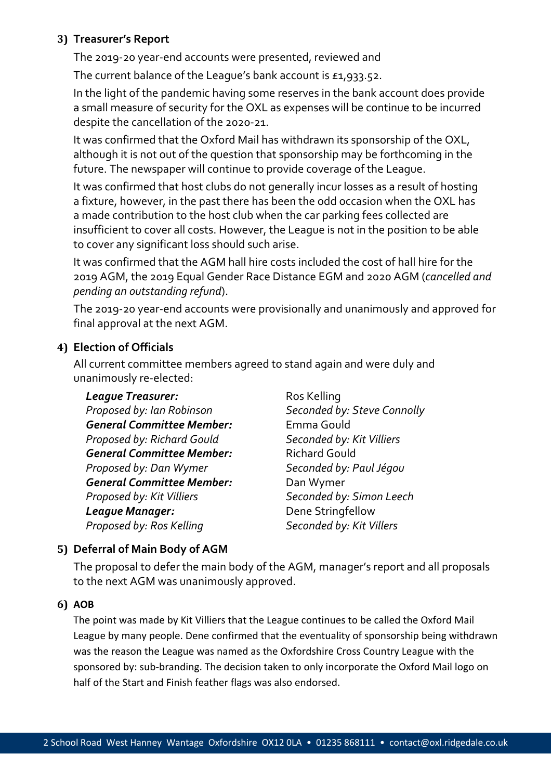## **3) Treasurer's Report**

The 2019-20 year-end accounts were presented, reviewed and

The current balance of the League's bank account is £1,933.52.

In the light of the pandemic having some reserves in the bank account does provide a small measure of security for the OXL as expenses will be continue to be incurred despite the cancellation of the 2020-21.

It was confirmed that the Oxford Mail has withdrawn its sponsorship of the OXL, although it is not out of the question that sponsorship may be forthcoming in the future. The newspaper will continue to provide coverage of the League.

It was confirmed that host clubs do not generally incur losses as a result of hosting a fixture, however, in the past there has been the odd occasion when the OXL has a made contribution to the host club when the car parking fees collected are insufficient to cover all costs. However, the League is not in the position to be able to cover any significant loss should such arise.

It was confirmed that the AGM hall hire costs included the cost of hall hire for the 2019 AGM, the 2019 Equal Gender Race Distance EGM and 2020 AGM (*cancelled and pending an outstanding refund*).

The 2019-20 year-end accounts were provisionally and unanimously and approved for final approval at the next AGM.

# **4) Election of Officials**

All current committee members agreed to stand again and were duly and unanimously re-elected:

## **League Treasurer:** Ros Kelling

*Proposed by: Ian Robinson Seconded by: Steve Connolly General Committee Member:* Emma Gould *Proposed by: Richard Gould Seconded by: Kit Villiers* **General Committee Member:** Richard Gould *Proposed by: Dan Wymer Seconded by: Paul Jégou General Committee Member:* Dan Wymer *Proposed by: Kit Villiers Seconded by: Simon Leech* **League Manager:** Dene Stringfellow *Proposed by: Ros Kelling Seconded by: Kit Villers*

# **5) Deferral of Main Body of AGM**

The proposal to defer the main body of the AGM, manager's report and all proposals to the next AGM was unanimously approved.

## **6) AOB**

The point was made by Kit Villiers that the League continues to be called the Oxford Mail League by many people. Dene confirmed that the eventuality of sponsorship being withdrawn was the reason the League was named as the Oxfordshire Cross Country League with the sponsored by: sub-branding. The decision taken to only incorporate the Oxford Mail logo on half of the Start and Finish feather flags was also endorsed.